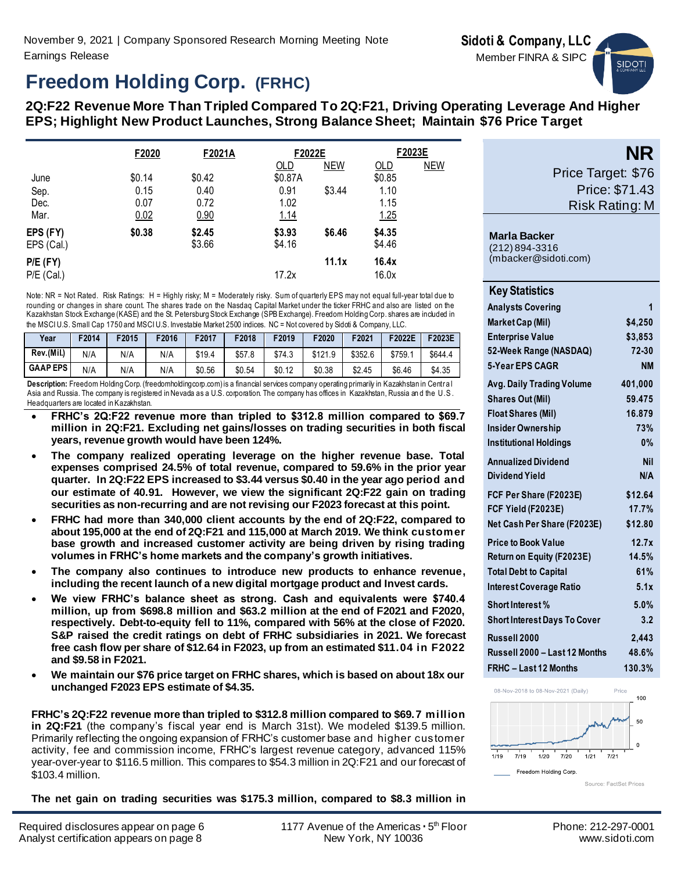# **Freedom Holding Corp. (FRHC)**

**2Q:F22 Revenue More Than Tripled Compared To 2Q:F21, Driving Operating Leverage And Higher EPS; Highlight New Product Launches, Strong Balance Sheet; Maintain \$76 Price Target**

|              | F2020  | F2021A | F2022E     |            | F2023E      |            |  |
|--------------|--------|--------|------------|------------|-------------|------------|--|
|              |        |        | <u>OLD</u> | <b>NEW</b> | <u>OLD</u>  | <b>NEW</b> |  |
| June         | \$0.14 | \$0.42 | \$0.87A    |            | \$0.85      |            |  |
| Sep.         | 0.15   | 0.40   | 0.91       | \$3.44     | 1.10        |            |  |
| Dec.         | 0.07   | 0.72   | 1.02       |            | 1.15        |            |  |
| Mar.         | 0.02   | 0.90   | 1.14       |            | <u>1.25</u> |            |  |
| EPS (FY)     | \$0.38 | \$2.45 | \$3.93     | \$6.46     | \$4.35      |            |  |
| EPS (Cal.)   |        | \$3.66 | \$4.16     |            | \$4.46      |            |  |
| $P/E$ (FY)   |        |        |            | 11.1x      | 16.4x       |            |  |
| $P/E$ (Cal.) |        |        | 17.2x      |            | 16.0x       |            |  |

Note: NR = Not Rated. Risk Ratings: H = Highly risky; M = Moderately risky. Sum of quarterly EPS may not equal full-year total due to rounding or changes in share count. The shares trade on the Nasdaq Capital Market under the ticker FRHC and also are listed on the Kazakhstan Stock Exchange (KASE) and the St. Petersburg Stock Exchange (SPB Exchange). Freedom Holding Corp. shares are included in the MSCI U.S. Small Cap 1750 and MSCI U.S. Investable Market 2500 indices. NC = Not covered by Sidoti & Company, LLC.

| Year           | E2014 | F2015 | F2016 | F2017  | E2018  | F2019  | F2020   | F2021   | F2022E  | F2023E  |
|----------------|-------|-------|-------|--------|--------|--------|---------|---------|---------|---------|
| Rev.(Mil.)     | N/A   | N/A   | N/A   | \$19.4 | \$57.8 | \$74.3 | \$121.9 | \$352.6 | \$759.1 | \$644.4 |
| <b>GAAPEPS</b> | N/A   | N/A   | N/A   | \$0.56 | \$0.54 | \$0.12 | \$0.38  | \$2.45  | \$6.46  | \$4.35  |

Description: Freedom Holding Corp. (freedomholdingcorp.com) is a financial services company operating primarily in Kazakhstan in Central Asia and Russia. The company is registered in Nevada as a U.S. corporation. The company has offices in Kazakhstan, Russia an d the U.S . Headquarters are located in Kazakhstan.

- **FRHC's 2Q:F22 revenue more than tripled to \$312.8 million compared to \$69.7 million in 2Q:F21. Excluding net gains/losses on trading securities in both fiscal years, revenue growth would have been 124%.**
- **The company realized operating leverage on the higher revenue base. Total expenses comprised 24.5% of total revenue, compared to 59.6% in the prior year quarter. In 2Q:F22 EPS increased to \$3.44 versus \$0.40 in the year ago period and our estimate of 40.91. However, we view the significant 2Q:F22 gain on trading securities as non-recurring and are not revising our F2023 forecast at this point.**
- **FRHC had more than 340,000 client accounts by the end of 2Q:F22, compared to about 195,000 at the end of 2Q:F21 and 115,000 at March 2019. We think customer base growth and increased customer activity are being driven by rising trading volumes in FRHC's home markets and the company's growth initiatives.**
- **The company also continues to introduce new products to enhance revenue, including the recent launch of a new digital mortgage product and Invest cards.**
- **We view FRHC's balance sheet as strong. Cash and equivalents were \$740.4 million, up from \$698.8 million and \$63.2 million at the end of F2021 and F2020, respectively. Debt-to-equity fell to 11%, compared with 56% at the close of F2020. S&P raised the credit ratings on debt of FRHC subsidiaries in 2021. We forecast free cash flow per share of \$12.64 in F2023, up from an estimated \$11.04 in F2022 and \$9.58 in F2021.**
- **We maintain our \$76 price target on FRHC shares, which is based on about 18x our unchanged F2023 EPS estimate of \$4.35.**

**FRHC's 2Q:F22 revenue more than tripled to \$312.8 million compared to \$69.7 million in 2Q:F21** (the company's fiscal year end is March 31st). We modeled \$139.5 million. Primarily reflecting the ongoing expansion of FRHC's customer base and higher customer activity, fee and commission income, FRHC's largest revenue category, advanced 115% year-over-year to \$116.5 million. This compares to \$54.3 million in 2Q:F21 and our forecast of \$103.4 million.

**The net gain on trading securities was \$175.3 million, compared to \$8.3 million in** 



Price Target: \$76 Price: \$71.43 Risk Rating: M

**NR**

## **Marla Backer**

(212) 894-3316 (mbacker@sidoti.com)

| <b>Key Statistics</b>               |            |
|-------------------------------------|------------|
| <b>Analysts Covering</b>            | 1          |
| <b>Market Cap (Mil)</b>             | \$4,250    |
| <b>Enterprise Value</b>             | \$3,853    |
| 52-Week Range (NASDAQ)              | 72-30      |
| 5-Year EPS CAGR                     | <b>NM</b>  |
| Avg. Daily Trading Volume           | 401,000    |
| <b>Shares Out (Mil)</b>             | 59.475     |
| <b>Float Shares (Mil)</b>           | 16.879     |
| <b>Insider Ownership</b>            | 73%        |
| <b>Institutional Holdings</b>       | 0%         |
| <b>Annualized Dividend</b>          | <b>Nil</b> |
| Dividend Yield                      | N/A        |
| FCF Per Share (F2023E)              | \$12.64    |
| FCF Yield (F2023E)                  | 17.7%      |
| Net Cash Per Share (F2023E)         | \$12.80    |
| <b>Price to Book Value</b>          | 12.7x      |
| Return on Equity (F2023E)           | 14.5%      |
| <b>Total Debt to Capital</b>        | 61%        |
| <b>Interest Coverage Ratio</b>      | 5.1x       |
| Short Interest%                     | 5.0%       |
| <b>Short Interest Days To Cover</b> | 3.2        |
| Russell 2000                        | 2,443      |
| Russell 2000 - Last 12 Months       | 48.6%      |
| FRHC - Last 12 Months               | 130.3%     |

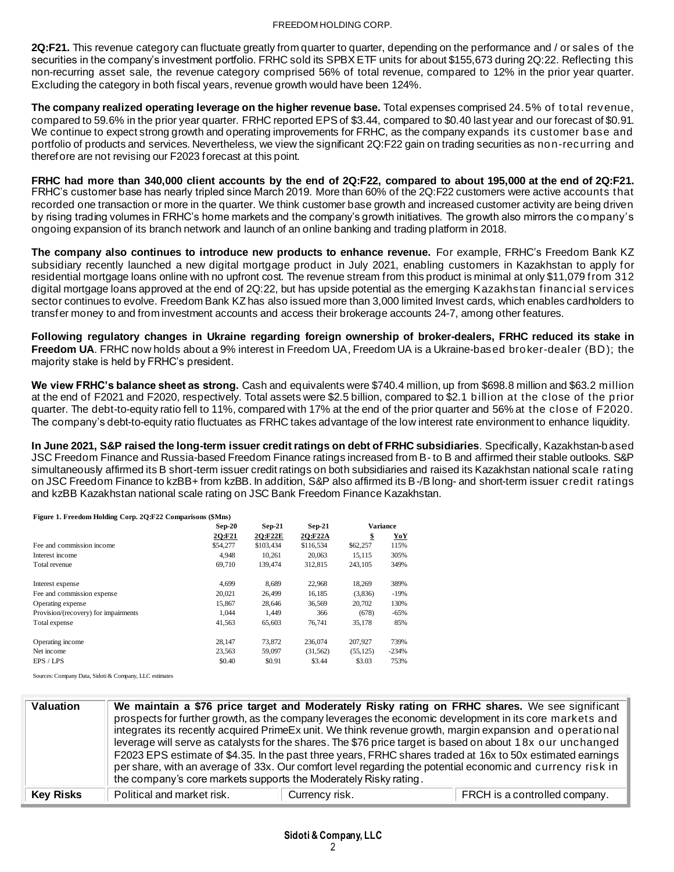**2Q:F21.** This revenue category can fluctuate greatly from quarter to quarter, depending on the performance and / or sales of the securities in the company's investment portfolio. FRHC sold its SPBX ETF units for about \$155,673 during 2Q:22. Reflecting this non-recurring asset sale, the revenue category comprised 56% of total revenue, compared to 12% in the prior year quarter. Excluding the category in both fiscal years, revenue growth would have been 124%.

**The company realized operating leverage on the higher revenue base.** Total expenses comprised 24.5% of total revenue, compared to 59.6% in the prior year quarter. FRHC reported EPS of \$3.44, compared to \$0.40 last year and our forecast of \$0.91. We continue to expect strong growth and operating improvements for FRHC, as the company expands its customer base and portfolio of products and services. Nevertheless, we view the significant 2Q:F22 gain on trading securities as non-recurring and therefore are not revising our F2023 forecast at this point.

**FRHC had more than 340,000 client accounts by the end of 2Q:F22, compared to about 195,000 at the end of 2Q:F21.** FRHC's customer base has nearly tripled since March 2019. More than 60% of the 2Q:F22 customers were active accounts that recorded one transaction or more in the quarter. We think customer base growth and increased customer activity are being driven by rising trading volumes in FRHC's home markets and the company's growth initiatives. The growth also mirrors the company's ongoing expansion of its branch network and launch of an online banking and trading platform in 2018.

**The company also continues to introduce new products to enhance revenue.** For example, FRHC's Freedom Bank KZ subsidiary recently launched a new digital mortgage product in July 2021, enabling customers in Kazakhstan to apply for residential mortgage loans online with no upfront cost. The revenue stream from this product is minimal at only \$11,079 from 312 digital mortgage loans approved at the end of 2Q:22, but has upside potential as the emerging Kazakhstan financial services sector continues to evolve. Freedom Bank KZ has also issued more than 3,000 limited Invest cards, which enables cardholders to transfer money to and from investment accounts and access their brokerage accounts 24-7, among other features.

**Following regulatory changes in Ukraine regarding foreign ownership of broker-dealers, FRHC reduced its stake in Freedom UA**. FRHC now holds about a 9% interest in Freedom UA, Freedom UA is a Ukraine-based broker-dealer (BD); the majority stake is held by FRHC's president.

**We view FRHC's balance sheet as strong.** Cash and equivalents were \$740.4 million, up from \$698.8 million and \$63.2 million at the end of F2021 and F2020, respectively. Total assets were \$2.5 billion, compared to \$2.1 billion at the close of the prior quarter. The debt-to-equity ratio fell to 11%, compared with 17% at the end of the prior quarter and 56% at the close of F2020. The company's debt-to-equity ratio fluctuates as FRHC takes advantage of the low interest rate environment to enhance liquidity.

**In June 2021, S&P raised the long-term issuer credit ratings on debt of FRHC subsidiaries**. Specifically, Kazakhstan-based JSC Freedom Finance and Russia-based Freedom Finance ratings increased from B- to B and affirmed their stable outlooks. S&P simultaneously affirmed its B short-term issuer credit ratings on both subsidiaries and raised its Kazakhstan national scale rating on JSC Freedom Finance to kzBB+ from kzBB. In addition, S&P also affirmed its B-/B long- and short-term issuer credit ratings and kzBB Kazakhstan national scale rating on JSC Bank Freedom Finance Kazakhstan.

#### **Figure 1. Freedom Holding Corp. 2Q:F22 Comparisons (\$Mns)**

|                                      | Sep 20   | $Sep-21$  | Sep 21    |           | <b>Variance</b> |
|--------------------------------------|----------|-----------|-----------|-----------|-----------------|
|                                      | 2Q:F21   | 2Q:F22E   | 20:F22A   | \$        | <u>YoY</u>      |
| Fee and commission income            | \$54,277 | \$103,434 | \$116,534 | \$62,257  | 115%            |
| Interest income                      | 4,948    | 10.261    | 20,063    | 15.115    | 305%            |
| Total revenue                        | 69.710   | 139,474   | 312,815   | 243,105   | 349%            |
| Interest expense                     | 4.699    | 8.689     | 22.968    | 18.269    | 389%            |
| Fee and commission expense           | 20.021   | 26,499    | 16.185    | (3,836)   | $-19%$          |
| Operating expense                    | 15,867   | 28,646    | 36,569    | 20,702    | 130%            |
| Provision/(recovery) for impairments | 1.044    | 1.449     | 366       | (678)     | $-65%$          |
| Total expense                        | 41,563   | 65,603    | 76.741    | 35,178    | 85%             |
| Operating income                     | 28.147   | 73,872    | 236,074   | 207,927   | 739%            |
| Net income                           | 23,563   | 59,097    | (31, 562) | (55, 125) | $-234%$         |
| EPS / LPS                            | \$0.40   | \$0.91    | \$3.44    | \$3.03    | 753%            |

Sources: Company Data, Sidoti & Company, LLC estimates

| Valuation        | the company's core markets supports the Moderately Risky rating. | We maintain a \$76 price target and Moderately Risky rating on FRHC shares. We see significant<br>prospects for further growth, as the company leverages the economic development in its core markets and<br>integrates its recently acquired PrimeEx unit. We think revenue growth, margin expansion and operational<br>leverage will serve as catalysts for the shares. The \$76 price target is based on about 18x our unchanged<br>F2023 EPS estimate of \$4.35. In the past three years, FRHC shares traded at 16x to 50x estimated earnings<br>per share, with an average of 33x. Our comfort level regarding the potential economic and currency risk in |                               |
|------------------|------------------------------------------------------------------|-----------------------------------------------------------------------------------------------------------------------------------------------------------------------------------------------------------------------------------------------------------------------------------------------------------------------------------------------------------------------------------------------------------------------------------------------------------------------------------------------------------------------------------------------------------------------------------------------------------------------------------------------------------------|-------------------------------|
| <b>Key Risks</b> | Political and market risk.                                       | Currency risk.                                                                                                                                                                                                                                                                                                                                                                                                                                                                                                                                                                                                                                                  | FRCH is a controlled company. |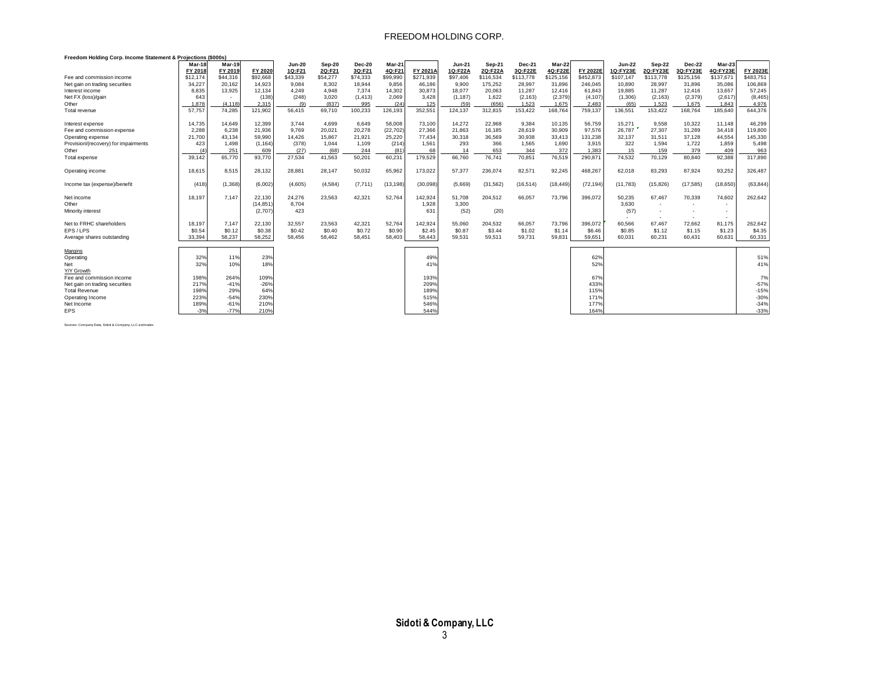| Freedom Holding Corp. Income Statement & Projections (\$000s) |                |          |           |               |          |               |               |           |               |           |           |           |           |                                    |                                    |                  |                          |           |
|---------------------------------------------------------------|----------------|----------|-----------|---------------|----------|---------------|---------------|-----------|---------------|-----------|-----------|-----------|-----------|------------------------------------|------------------------------------|------------------|--------------------------|-----------|
|                                                               | Mar-18         | Mar-19   |           | <b>Jun-20</b> | Sep-20   | <b>Dec-20</b> | <b>Mar-21</b> |           | <b>Jun-21</b> | Sep-21    | Dec-21    | Mar-22    |           | <b>Jun-22</b>                      | Sep-22                             | Dec-22           | Mar-23                   |           |
|                                                               | FY 2018        | FY 2019  | FY 2020   | 1Q:F21        | 2Q:F21   | 3Q:F21        | 4Q:F21        | FY 2021A  | 1Q:F22A       | 2Q:F22A   | 3Q:F22E   | 4Q:F22E   | FY 2022E  | 1Q:FY23E                           | 2Q:FY23E                           | 3Q:FY23E         | 4Q:FY23E                 | FY 2023E  |
| Fee and commission income                                     | \$12,174       | \$44,316 | \$92,668  | \$43,339      | \$54,277 | \$74,333      | \$99,990      | \$271,939 | \$97,406      | \$116,534 | \$113,778 | \$125,156 | \$452,873 | \$107.147                          | \$113,778                          | \$125,156        | \$137,67                 | \$483,751 |
| Net gain on trading securities                                | 34.227         | 20,162   | 14.923    | 9.084         | 8,302    | 18.944        | 9.856         | 46.186    | 9.900         | 175,252   | 28,997    | 31,896    | 246,045   | 10,890                             | 28,997                             | 31.896           | 35,086                   | 106,869   |
| Interest income                                               | 8,835          | 13,925   | 12,134    | 4.249         | 4,948    | 7,374         | 14,302        | 30,873    | 18,077        | 20,063    | 11,287    | 12,416    | 61,843    | 19,885                             | 11,287                             | 12,416           | 13,657                   | 57,245    |
| Net FX (loss)/gain                                            | 643            |          | (138)     | (248)         | 3,020    | (1, 413)      | 2,069         | 3,428     | (1, 187)      | 1,622     | (2, 163)  | (2,379)   | (4, 107)  | (1,306)                            | (2, 163)                           | (2,379)          | (2,617)                  | (8, 465)  |
| Other                                                         | 1.878          | (4.118)  | 2,315     | (9)           | (837)    | 995           | (24)          | 125       | (59)          | (656)     | 1,523     | 1.675     | 2,483     | (65)                               | 1,523                              | 1,675            | 1,843                    | 4.976     |
| Total revenue                                                 | 57.757         | 74,285   | 121.902   | 56.415        | 69.710   | 100,233       | 126.193       | 352,551   | 124,137       | 312,815   | 153,422   | 168,764   | 759,137   | 136.551                            | 153,422                            | 168,764          | 185,640                  | 644,376   |
|                                                               |                |          |           |               |          |               |               |           |               |           |           |           |           |                                    |                                    |                  |                          |           |
| Interest expense                                              | 14.735         | 14.649   | 12,399    | 3.744         | 4.699    | 6.649         | 58,008        | 73,100    | 14.272        | 22.968    | 9.384     | 10,135    | 56,759    | 15,271                             | 9,558                              | 10.322           | 11,148                   | 46.299    |
| Fee and commission expense                                    | 2.288          | 6.238    | 21.936    | 9.769         | 20.021   | 20.278        | (22.702)      | 27.366    | 21.863        | 16.185    | 28.619    | 30,909    | 97.576    | 26,787                             | 27.307                             | 31.289           | 34.418                   | 119,800   |
| Operating expense                                             | 21,700         | 43,134   | 59.990    | 14,426        | 15,867   | 21,921        | 25,220        | 77,434    | 30,318        | 36.569    | 30.938    | 33,413    | 131,238   | 32.137                             | 31,511                             | 37,128           | 44,554                   | 145,330   |
| Provision/(recovery) for impairments                          | 423            | 1.498    | (1, 164)  | (378)         | 1.044    | 1.109         | (214)         | 1,561     | 293           | 366       | 1.565     | 1.690     | 3.915     | 322                                | 1.594                              | 1,722            | 1.859                    | 5.498     |
| Other                                                         | $\overline{a}$ | 251      | 609       | (27)          | (68)     | 244           | (81)          | 68        | 14            | 653       | 344       | 372       | 1,383     | 15                                 | 159                                | 379              | 409                      | 963       |
| Total expense                                                 | 39.142         | 65,770   | 93,770    | 27,534        | 41,563   | 50,201        | 60,231        | 179,529   | 66,760        | 76,741    | 70,851    | 76,519    | 290,871   | 74,532                             | 70,129                             | 80,840           | 92,388                   | 317,890   |
| Operating income                                              | 18.615         | 8.515    | 28.132    | 28.881        | 28,147   | 50.032        | 65.962        | 173.022   | 57.377        | 236.074   | 82.571    | 92,245    | 468,267   | 62.018                             | 83,293                             | 87,924           | 93,252                   | 326,487   |
| Income tax (expense)/benefit                                  | (418)          | (1,368)  | (6,002)   | (4,605)       | (4,584)  | (7, 711)      | (13, 198)     | (30, 098) | (5,669)       | (31, 562) | (16, 514) | (18, 449) | (72, 194) | (11.783)                           | (15, 826)                          | (17, 585)        | (18, 650)                | (63, 844) |
| Net income                                                    | 18,197         | 7.147    | 22,130    | 24,276        | 23,563   | 42,321        | 52,764        | 142,924   | 51.708        | 204.512   | 66,057    | 73,796    | 396.072   | 50,235                             | 67,467                             | 70,339           | 74,602                   | 262,642   |
| Other                                                         |                |          | (14, 851) | 8,704         |          |               |               | 1,928     | 3,300         |           |           |           |           | 3,630                              |                                    |                  | $\overline{\phantom{a}}$ |           |
| Minority interest                                             |                |          | (2,707)   | 423           |          |               |               | 631       | (52)          | (20)      |           |           |           | (57)                               | $\overline{\phantom{a}}$           | $\sim$           | $\overline{\phantom{a}}$ |           |
| Net to FRHC shareholders                                      | 18,197         | 7.147    | 22,130    | 32,557        | 23,563   | 42,321        | 52,764        | 142,924   | 55,060        | 204,532   | 66,057    | 73,796    | 396,072   | $\overline{\phantom{a}}$<br>60,566 | $\overline{\phantom{a}}$<br>67,467 | $\sim$<br>72,662 | 81,175                   | 262,642   |
| EPS/LPS                                                       | \$0.54         | \$0.12   | \$0.38    | \$0.42        | \$0.40   | \$0.72        | \$0.90        | \$2.45    | \$0.87        | \$3.44    | \$1.02    | \$1.14    | \$6.46    | \$0.85                             | \$1.12                             | \$1.15           | \$1.23                   | \$4.35    |
| Average shares outstanding                                    | 33,394         | 58.237   | 58,252    | 58,456        | 58,462   | 58,451        | 58.403        | 58,443    | 59.531        | 59.511    | 59,731    | 59,831    | 59,651    | 60.031                             | 60,231                             | 60,431           | 60,631                   | 60,331    |
| Margins                                                       |                |          |           |               |          |               |               |           |               |           |           |           |           |                                    |                                    |                  |                          |           |
| Operating                                                     | 32%            | 11%      | 23%       |               |          |               |               | 49%       |               |           |           |           | 62%       |                                    |                                    |                  |                          | 51%       |
| Net                                                           | 32%            | 10%      | 18%       |               |          |               |               | 41%       |               |           |           |           | 52%       |                                    |                                    |                  |                          | 41%       |
| Y/Y Growth                                                    |                |          |           |               |          |               |               |           |               |           |           |           |           |                                    |                                    |                  |                          |           |
| Fee and commission income                                     | 198%           | 264%     | 109%      |               |          |               |               | 193%      |               |           |           |           | 67%       |                                    |                                    |                  |                          | 7%        |
| Net gain on trading securities                                | 217%           | $-41%$   | $-26%$    |               |          |               |               | 209%      |               |           |           |           | 433%      |                                    |                                    |                  |                          | $-57%$    |
| <b>Total Revenue</b>                                          | 198%           | 29%      | 64%       |               |          |               |               | 189%      |               |           |           |           | 115%      |                                    |                                    |                  |                          | $-15%$    |
| Operating Income                                              | 223%           | $-54%$   | 230%      |               |          |               |               | 515%      |               |           |           |           | 171%      |                                    |                                    |                  |                          | $-30%$    |
| Net Income                                                    | 189%           | $-61%$   | 210%      |               |          |               |               | 546%      |               |           |           |           | 177%      |                                    |                                    |                  |                          | $-34%$    |
| EPS                                                           | $-3%$          | $-77%$   | 210%      |               |          |               |               | 544%      |               |           |           |           | 164%      |                                    |                                    |                  |                          | $-33%$    |

Sources: Company Data, Sidoti & Company, LLC estimates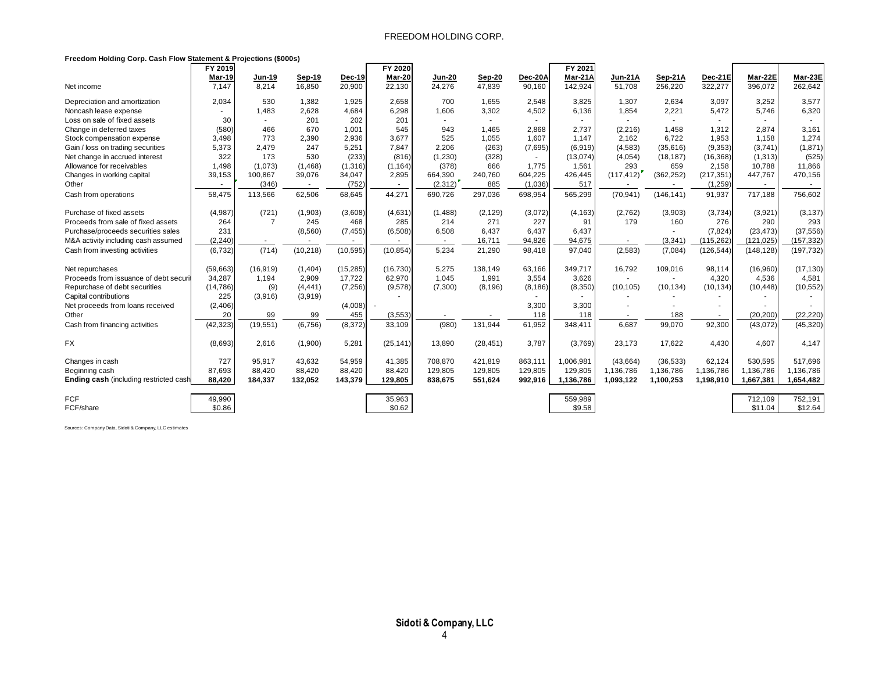#### **Freedom Holding Corp. Cash Flow Statement & Projections (\$000s)**

|                                                                  |                 |                 |                  |                         |                  | FREEDOM HOLDING CORP.    |                  |                          |                    |                          |                    |                    |                    |                    |
|------------------------------------------------------------------|-----------------|-----------------|------------------|-------------------------|------------------|--------------------------|------------------|--------------------------|--------------------|--------------------------|--------------------|--------------------|--------------------|--------------------|
|                                                                  |                 |                 |                  |                         |                  |                          |                  |                          |                    |                          |                    |                    |                    |                    |
| Freedom Holding Corp. Cash Flow Statement & Projections (\$000s) |                 |                 |                  |                         |                  |                          |                  |                          |                    |                          |                    |                    |                    |                    |
|                                                                  | FY 2019         |                 |                  |                         | FY 2020          |                          |                  |                          | FY 2021            |                          |                    |                    |                    |                    |
| Net income                                                       | Mar-19<br>7.147 | Jun-19<br>8.214 | Sep-19<br>16.850 | <b>Dec-19</b><br>20,900 | Mar-20<br>22,130 | <b>Jun-20</b><br>24.276  | Sep-20<br>47.839 | Dec-20A<br>90.160        | Mar-21A<br>142,924 | <b>Jun-21A</b><br>51.708 | Sep-21A<br>256,220 | Dec-21E<br>322,277 | Mar-22E<br>396.072 | Mar-23E<br>262.642 |
|                                                                  |                 |                 |                  |                         |                  |                          |                  |                          |                    |                          |                    |                    |                    |                    |
| Depreciation and amortization                                    | 2,034           | 530             | 1,382            | 1,925                   | 2.658            | 700                      | 1,655            | 2,548                    | 3.825              | 1,307                    | 2,634              | 3,097              | 3,252              | 3,577              |
| Noncash lease expense                                            |                 | 1.483           | 2.628            | 4,684                   | 6,298            | 1.606                    | 3,302            | 4,502                    | 6,136              | 1.854                    | 2,221              | 5.472              | 5,746              | 6,320              |
| Loss on sale of fixed assets                                     | 30              |                 | 201              | 202                     | 201              |                          |                  |                          |                    |                          |                    |                    |                    | $\sim$             |
| Change in deferred taxes                                         | (580)           | 466             | 670              | 1,001                   | 545              | 943                      | 1,465            | 2,868                    | 2,737              | (2, 216)                 | 1,458              | 1,312              | 2,874              | 3,161              |
| Stock compensation expense                                       | 3,498           | 773             | 2,390            | 2,936                   | 3.677            | 525                      | 1,055            | 1,607                    | 1,147              | 2,162                    | 6,722              | 1,953              | 1.158              | 1,274              |
| Gain / loss on trading securities                                | 5,373           | 2,479           | 247              | 5,251                   | 7,847            | 2,206                    | (263)            | (7,695)                  | (6,919)            | (4,583)                  | (35,616)           | (9, 353)           | (3,741)            | (1,871)            |
| Net change in accrued interest                                   | 322             | 173             | 530              | (233)                   | (816)            | (1,230)                  | (328)            | $\overline{\phantom{a}}$ | (13,074)           | (4,054)                  | (18, 187)          | (16, 368)          | (1, 313)           | (525)              |
| Allowance for receivables                                        | 1,498           | (1,073)         | (1,468)          | (1,316)                 | (1, 164)         | (378)                    | 666              | 1.775                    | 1,561              | 293                      | 659                | 2,158              | 10,788             | 11,866             |
| Changes in working capital                                       | 39,153          | 100,867         | 39,076           | 34,047                  | 2.895            | 664,390                  | 240,760          | 604,225                  | 426.445            | (117, 412)               | (362, 252)         | (217, 351)         | 447,767            | 470,156            |
| Other                                                            |                 | (346)           |                  | (752)                   |                  | (2, 312)                 | 885              | (1,036)                  | 517                |                          |                    | (1, 259)           |                    |                    |
| Cash from operations                                             | 58,475          | 113,566         | 62,506           | 68,645                  | 44,271           | 690,726                  | 297,036          | 698,954                  | 565,299            | (70, 941)                | (146, 141)         | 91,937             | 717,188            | 756,602            |
| Purchase of fixed assets                                         | (4,987)         | (721)           | (1,903)          | (3,608)                 | (4,631)          | (1,488)                  | (2, 129)         | (3,072)                  | (4, 163)           | (2,762)                  | (3,903)            | (3,734)            | (3,921)            | (3, 137)           |
| Proceeds from sale of fixed assets                               | 264             | $\overline{7}$  | 245              | 468                     | 285              | 214                      | 271              | 227                      | 91                 | 179                      | 160                | 276                | 290                | 293                |
| Purchase/proceeds securities sales                               | 231             |                 | (8,560)          | (7, 455)                | (6,508)          | 6,508                    | 6,437            | 6,437                    | 6,437              |                          |                    | (7, 824)           | (23, 473)          | (37, 556)          |
| M&A activity including cash assumed                              | (2, 240)        |                 |                  |                         |                  | $\overline{\phantom{a}}$ | 16,711           | 94,826                   | 94,675             | $\overline{\phantom{a}}$ | (3, 341)           | (115, 262)         | (121, 025)         | (157, 332)         |
| Cash from investing activities                                   | (6, 732)        | (714)           | (10, 218)        | (10, 595)               | (10, 854)        | 5,234                    | 21,290           | 98,418                   | 97,040             | (2, 583)                 | (7,084)            | (126, 544)         | (148, 128)         | (197, 732)         |
| Net repurchases                                                  | (59, 663)       | (16, 919)       | (1,404)          | (15, 285)               | (16, 730)        | 5,275                    | 138,149          | 63,166                   | 349,717            | 16,792                   | 109,016            | 98,114             | (16,960)           | (17, 130)          |
| Proceeds from issuance of debt securi                            | 34,287          | 1,194           | 2,909            | 17,722                  | 62,970           | 1,045                    | 1,991            | 3,554                    | 3,626              | $\mathbf{r}$             |                    | 4,320              | 4,536              | 4,581              |
| Repurchase of debt securities                                    | (14, 786)       | (9)             | (4, 441)         | (7, 256)                | (9,578)          | (7,300)                  | (8, 196)         | (8, 186)                 | (8,350)            | (10, 105)                | (10, 134)          | (10, 134)          | (10, 448)          | (10, 552)          |
| Capital contributions                                            | 225             | (3,916)         | (3,919)          |                         |                  |                          |                  |                          |                    |                          |                    |                    |                    | $\sim$             |
| Net proceeds from loans received                                 | (2, 406)        |                 |                  | (4,008)                 |                  |                          |                  | 3,300                    | 3,300              |                          |                    | ٠                  |                    |                    |
| Other                                                            | 20              | 99              | 99               | 455                     | (3, 553)         |                          |                  | 118                      | 118                |                          | 188                | $\sim$             | (20, 200)          | (22, 220)          |
| Cash from financing activities                                   | (42, 323)       | (19, 551)       | (6, 756)         | (8, 372)                | 33,109           | (980)                    | 131,944          | 61,952                   | 348,411            | 6.687                    | 99,070             | 92,300             | (43,072)           | (45, 320)          |
| <b>FX</b>                                                        | (8,693)         | 2.616           | (1,900)          | 5,281                   | (25, 141)        | 13,890                   | (28, 451)        | 3,787                    | (3,769)            | 23,173                   | 17,622             | 4,430              | 4,607              | 4,147              |
| Changes in cash                                                  | 727             | 95.917          | 43,632           | 54,959                  | 41,385           | 708,870                  | 421,819          | 863,111                  | 1.006.981          | (43,664)                 | (36, 533)          | 62.124             | 530,595            | 517.696            |
| Beginning cash                                                   | 87,693          | 88,420          | 88,420           | 88,420                  | 88,420           | 129,805                  | 129,805          | 129,805                  | 129,805            | 1,136,786                | 1,136,786          | 1,136,786          | 1,136,786          | 1,136,786          |
| Ending cash (including restricted cash                           | 88,420          | 184,337         | 132,052          | 143,379                 | 129,805          | 838,675                  | 551,624          | 992,916                  | 1,136,786          | 1,093,122                | 1,100,253          | 1,198,910          | 1,667,381          | 1,654,482          |
|                                                                  |                 |                 |                  |                         |                  |                          |                  |                          |                    |                          |                    |                    |                    |                    |

| <b>FCF</b> | 49,990 | 35,963 | 559,989 | 712.109 | 752.191 |
|------------|--------|--------|---------|---------|---------|
| FCF/share  | \$0.86 | \$0.62 | \$9.58  | \$11.04 | \$12.64 |

Sources: Company Data, Sidoti & Company, LLC estimates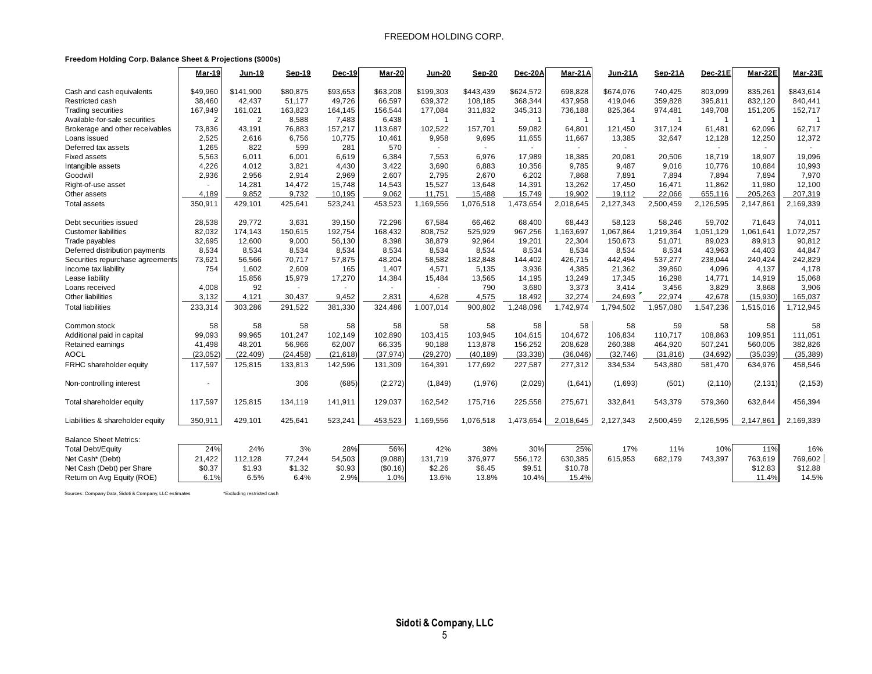#### **Freedom Holding Corp. Balance Sheet & Projections (\$000s)**

|                                  | Mar-19   | Jun-19         | Sep-19    | Dec-19    | Mar-20    | <b>Jun-20</b> | Sep-20         | Dec-20A   | Mar-21A      | Jun-21A        | Sep-21A        | Dec-21E   | Mar-22E        | Mar-23E   |
|----------------------------------|----------|----------------|-----------|-----------|-----------|---------------|----------------|-----------|--------------|----------------|----------------|-----------|----------------|-----------|
| Cash and cash equivalents        | \$49,960 | \$141,900      | \$80,875  | \$93,653  | \$63,208  | \$199,303     | \$443,439      | \$624,572 | 698,828      | \$674,076      | 740,425        | 803,099   | 835,261        | \$843,614 |
| Restricted cash                  | 38.460   | 42,437         | 51.177    | 49,726    | 66,597    | 639,372       | 108,185        | 368,344   | 437.958      | 419.046        | 359,828        | 395,811   | 832,120        | 840,441   |
| <b>Trading securities</b>        | 167,949  | 161,021        | 163,823   | 164,145   | 156.544   | 177,084       | 311,832        | 345,313   | 736,188      | 825,364        | 974,481        | 149,708   | 151,205        | 152,717   |
| Available-for-sale securities    |          | $\overline{2}$ | 8,588     | 7,483     | 6,438     | $\mathbf{1}$  |                | -1        | $\mathbf{1}$ | $\overline{1}$ | $\overline{1}$ |           | $\overline{1}$ |           |
| Brokerage and other receivables  | 73,836   | 43,191         | 76,883    | 157,217   | 113,687   | 102,522       | 157,701        | 59,082    | 64,801       | 121,450        | 317,124        | 61,481    | 62,096         | 62,717    |
| Loans issued                     | 2,525    | 2,616          | 6,756     | 10,775    | 10,461    | 9,958         | 9.695          | 11,655    | 11.667       | 13,385         | 32,647         | 12,128    | 12,250         | 12,372    |
| Deferred tax assets              | 1,265    | 822            | 599       | 281       | 570       | $\sim$        | $\blacksquare$ | $\sim$    |              | $\sim$         |                | $\sim$    |                |           |
| <b>Fixed assets</b>              | 5,563    | 6,011          | 6,001     | 6,619     | 6,384     | 7,553         | 6,976          | 17,989    | 18,385       | 20,081         | 20,506         | 18,719    | 18,907         | 19,096    |
| Intangible assets                | 4,226    | 4,012          | 3,821     | 4,430     | 3,422     | 3,690         | 6,883          | 10,356    | 9,785        | 9,487          | 9,016          | 10,776    | 10,884         | 10,993    |
| Goodwill                         | 2.936    | 2.956          | 2.914     | 2.969     | 2.607     | 2.795         | 2.670          | 6.202     | 7.868        | 7.891          | 7.894          | 7.894     | 7.894          | 7.970     |
| Right-of-use asset               | $\sim$   | 14,281         | 14,472    | 15,748    | 14,543    | 15,527        | 13,648         | 14,391    | 13,262       | 17,450         | 16,471         | 11,862    | 11,980         | 12,100    |
| Other assets                     | 4,189    | 9,852          | 9,732     | 10,195    | 9,062     | 11,751        | 15,488         | 15,749    | 19,902       | 19,112         | 22,066         | 655,116   | 205,263        | 207,319   |
| <b>Total assets</b>              | 350,911  | 429,101        | 425,641   | 523,241   | 453,523   | 1,169,556     | 1,076,518      | 1,473,654 | 2,018,645    | 2,127,343      | 2,500,459      | 2,126,595 | 2,147,861      | 2,169,339 |
| Debt securities issued           | 28,538   | 29,772         | 3,631     | 39,150    | 72,296    | 67,584        | 66,462         | 68,400    | 68,443       | 58,123         | 58,246         | 59,702    | 71,643         | 74,011    |
| <b>Customer liabilities</b>      | 82,032   | 174,143        | 150,615   | 192,754   | 168,432   | 808,752       | 525,929        | 967,256   | 1,163,697    | 1,067,864      | 1,219,364      | 1,051,129 | 1,061,641      | 1,072,257 |
| Trade payables                   | 32,695   | 12,600         | 9,000     | 56,130    | 8,398     | 38,879        | 92,964         | 19,201    | 22,304       | 150,673        | 51,071         | 89,023    | 89,913         | 90,812    |
| Deferred distribution payments   | 8,534    | 8,534          | 8,534     | 8,534     | 8,534     | 8,534         | 8,534          | 8.534     | 8,534        | 8.534          | 8,534          | 43,963    | 44,403         | 44,847    |
| Securities repurchase agreements | 73,621   | 56,566         | 70,717    | 57,875    | 48,204    | 58,582        | 182,848        | 144,402   | 426,715      | 442,494        | 537,277        | 238,044   | 240,424        | 242,829   |
| Income tax liability             | 754      | 1,602          | 2,609     | 165       | 1,407     | 4,571         | 5,135          | 3,936     | 4,385        | 21,362         | 39,860         | 4,096     | 4,137          | 4,178     |
| Lease liability                  |          | 15,856         | 15,979    | 17,270    | 14,384    | 15,484        | 13,565         | 14,195    | 13,249       | 17,345         | 16,298         | 14.771    | 14,919         | 15.068    |
| Loans received                   | 4,008    | 92             | $\sim$    | ×.        | $\sim$    |               | 790            | 3,680     | 3,373        | 3,414          | 3,456          | 3,829     | 3,868          | 3,906     |
| Other liabilities                | 3,132    | 4,121          | 30,437    | 9,452     | 2,831     | 4,628         | 4,575          | 18,492    | 32,274       | 24,693         | 22,974         | 42,678    | (15,930)       | 165,037   |
| <b>Total liabilities</b>         | 233,314  | 303,286        | 291,522   | 381,330   | 324,486   | 1,007,014     | 900,802        | 1,248,096 | 1,742,974    | 1,794,502      | 1,957,080      | 1,547,236 | 1,515,016      | 1,712,945 |
| Common stock                     | 58       | 58             | 58        | 58        | 58        | 58            | 58             | 58        | 58           | 58             | 59             | 58        | 58             | 58        |
| Additional paid in capital       | 99,093   | 99,965         | 101,247   | 102,149   | 102,890   | 103,415       | 103,945        | 104,615   | 104,672      | 106,834        | 110,717        | 108,863   | 109,951        | 111,051   |
| Retained earnings                | 41,498   | 48.201         | 56,966    | 62,007    | 66.335    | 90.188        | 113,878        | 156,252   | 208.628      | 260.388        | 464,920        | 507.241   | 560,005        | 382.826   |
| <b>AOCL</b>                      | (23,052) | (22, 409)      | (24, 458) | (21, 618) | (37, 974) | (29, 270)     | (40, 189)      | (33, 338) | (36,046)     | (32, 746)      | (31, 816)      | (34, 692) | (35,039)       | (35, 389) |
| FRHC shareholder equity          | 117,597  | 125,815        | 133,813   | 142,596   | 131.309   | 164,391       | 177,692        | 227,587   | 277,312      | 334,534        | 543,880        | 581.470   | 634,976        | 458,546   |
| Non-controlling interest         |          |                | 306       | (685)     | (2, 272)  | (1,849)       | (1,976)        | (2,029)   | (1,641)      | (1,693)        | (501)          | (2, 110)  | (2, 131)       | (2, 153)  |
| Total shareholder equity         | 117.597  | 125,815        | 134.119   | 141,911   | 129,037   | 162,542       | 175,716        | 225,558   | 275,671      | 332,841        | 543,379        | 579,360   | 632,844        | 456,394   |
| Liabilities & shareholder equity | 350,911  | 429,101        | 425,641   | 523,241   | 453,523   | 1,169,556     | 1,076,518      | 1,473,654 | 2,018,645    | 2,127,343      | 2,500,459      | 2,126,595 | 2,147,861      | 2,169,339 |
| <b>Balance Sheet Metrics:</b>    |          |                |           |           |           |               |                |           |              |                |                |           |                |           |
| <b>Total Debt/Equity</b>         | 24%      | 24%            | 3%        | 28%       | 56%       | 42%           | 38%            | 30%       | 25%          | 17%            | 11%            | 10%       | 11%            | 16%       |
| Net Cash* (Debt)                 | 21.422   | 112.128        | 77,244    | 54.503    | (9,088)   | 131.719       | 376,977        | 556,172   | 630,385      | 615.953        | 682.179        | 743.397   | 763.619        | 769,602   |
| Net Cash (Debt) per Share        | \$0.37   | \$1.93         | \$1.32    | \$0.93    | (\$0.16)  | \$2.26        | \$6.45         | \$9.51    | \$10.78      |                |                |           | \$12.83        | \$12.88   |
| Return on Avg Equity (ROE)       | 6.1%     | 6.5%           | 6.4%      | 2.9%      | 1.0%      | 13.6%         | 13.8%          | 10.4%     | 15.4%        |                |                |           | 11.4%          | 14.5%     |

Sources: Company Data, Sidoti & Company, LLC estimates \*Excluding restricted cash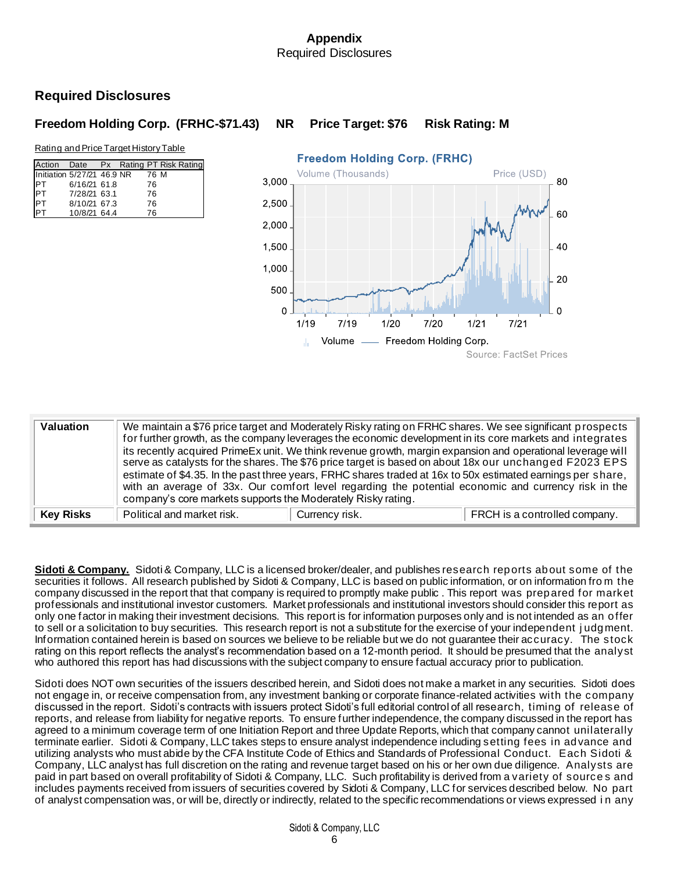## **Appendix** Required Disclosures

# **Required Disclosures**

Rating and Price Target History Table

# **Freedom Holding Corp. (FRHC-\$71.43) NR Price Target: \$76 Risk Rating: M**

| Action Date Px Rating PT Risk Rating |              |  |      |  |
|--------------------------------------|--------------|--|------|--|
| Initiation 5/27/21 46.9 NR           |              |  | 76 M |  |
|                                      | 6/16/21 61.8 |  | 76   |  |
| PT<br>PT                             | 7/28/21 63.1 |  | 76   |  |
| <br> PT<br> PT                       | 8/10/21 67.3 |  | 76   |  |
|                                      | 10/8/21 64.4 |  | 76   |  |



**Sidoti & Company.**Sidoti & Company, LLC is a licensed broker/dealer, and publishes research reports about some of the securities it follows. All research published by Sidoti & Company, LLC is based on public information, or on information fro m the company discussed in the report that that company is required to promptly make public . This report was prepared for market professionals and institutional investor customers. Market professionals and institutional investors should consider this report as only one factor in making their investment decisions. This report is for information purposes only and is not intended as an offer to sell or a solicitation to buy securities. This research report is not a substitute for the exercise of your independent j udgment. Information contained herein is based on sources we believe to be reliable but we do not guarantee their accuracy. The stock rating on this report reflects the analyst's recommendation based on a 12-month period. It should be presumed that the analyst who authored this report has had discussions with the subject company to ensure factual accuracy prior to publication.

Sidoti does NOT own securities of the issuers described herein, and Sidoti does not make a market in any securities. Sidoti does not engage in, or receive compensation from, any investment banking or corporate finance-related activities with the company discussed in the report. Sidoti's contracts with issuers protect Sidoti's full editorial control of all research, timing of release of reports, and release from liability for negative reports. To ensure further independence, the company discussed in the report has agreed to a minimum coverage term of one Initiation Report and three Update Reports, which that company cannot unilaterally terminate earlier. Sidoti & Company, LLC takes steps to ensure analyst independence including setting fees in advance and utilizing analysts who must abide by the CFA Institute Code of Ethics and Standards of Professional Conduct. Each Sidoti & Company, LLC analyst has full discretion on the rating and revenue target based on his or her own due diligence. Analysts are paid in part based on overall profitability of Sidoti & Company, LLC. Such profitability is derived from a variety of source s and includes payments received from issuers of securities covered by Sidoti & Company, LLC for services described below. No part of analyst compensation was, or will be, directly or indirectly, related to the specific recommendations or views expressed i n any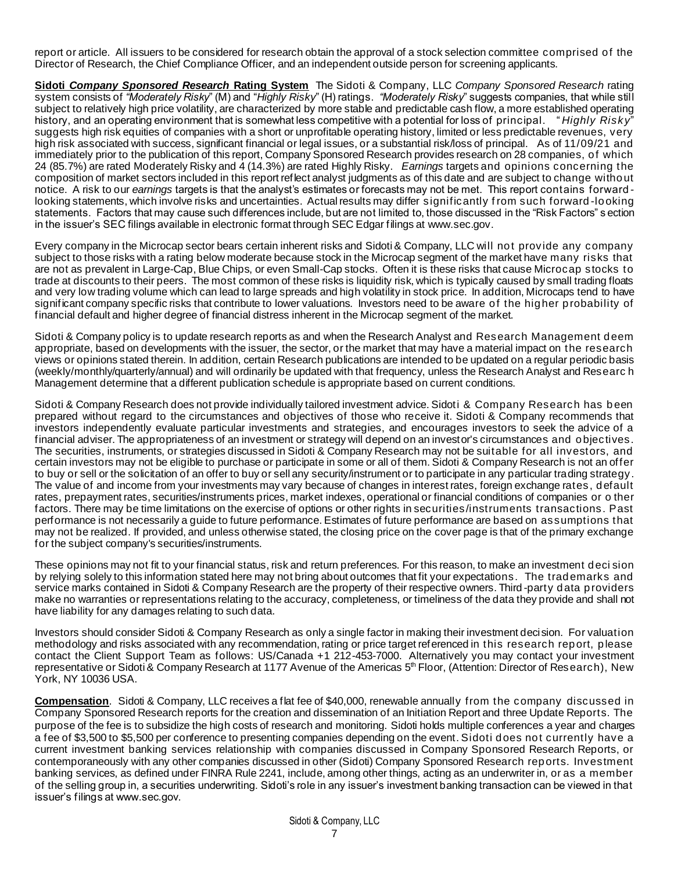report or article. All issuers to be considered for research obtain the approval of a stock selection committee comprised of the Director of Research, the Chief Compliance Officer, and an independent outside person for screening applicants.

**Sidoti** *Company Sponsored Research* **Rating System** The Sidoti & Company, LLC *Company Sponsored Research* rating system consists of *"Moderately Risky*" (M) and "*Highly Risky*" (H) ratings. *"Moderately Risky*" suggests companies, that while still subject to relatively high price volatility, are characterized by more stable and predictable cash flow, a more established operating history, and an operating environment that is somewhat less competitive with a potential for loss of principal. " *Highly Risky*" suggests high risk equities of companies with a short or unprofitable operating history, limited or less predictable revenues, very high risk associated with success, significant financial or legal issues, or a substantial risk/loss of principal. As of 11/09/21 and immediately prior to the publication of this report, Company Sponsored Research provides research on 28 companies, of which 24 (85.7%) are rated Moderately Risky and 4 (14.3%) are rated Highly Risky. *Earnings* targets and opinions concerning the composition of market sectors included in this report reflect analyst judgments as of this date and are subject to change without notice. A risk to our *earnings* targets is that the analyst's estimates or forecasts may not be met. This report contains forward looking statements, which involve risks and uncertainties. Actual results may differ significantly f rom such forward -looking statements. Factors that may cause such differences include, but are not limited to, those discussed in the "Risk Factors" s ection in the issuer's SEC filings available in electronic format through SEC Edgar filings a[t www.sec.gov](http://www.sec.gov/).

Every company in the Microcap sector bears certain inherent risks and Sidoti & Company, LLC will not provide any company subject to those risks with a rating below moderate because stock in the Microcap segment of the market have many risks that are not as prevalent in Large-Cap, Blue Chips, or even Small-Cap stocks. Often it is these risks that cause Microcap stocks to trade at discounts to their peers. The most common of these risks is liquidity risk, which is typically caused by small trading floats and very low trading volume which can lead to large spreads and high volatility in stock price. In addition, Microcaps tend to have significant company specific risks that contribute to lower valuations. Investors need to be aware of the higher probability of financial default and higher degree of financial distress inherent in the Microcap segment of the market.

Sidoti & Company policy is to update research reports as and when the Research Analyst and Research Management deem appropriate, based on developments with the issuer, the sector, or the market that may have a material impact on the research views or opinions stated therein. In addition, certain Research publications are intended to be updated on a regular periodic basis (weekly/monthly/quarterly/annual) and will ordinarily be updated with that frequency, unless the Research Analyst and Researc h Management determine that a different publication schedule is appropriate based on current conditions.

Sidoti & Company Research does not provide individually tailored investment advice. Sidoti & Company Research has been prepared without regard to the circumstances and objectives of those who receive it. Sidoti & Company recommends that investors independently evaluate particular investments and strategies, and encourages investors to seek the advice of a financial adviser. The appropriateness of an investment or strategy will depend on an investor's circumstances and objectives. The securities, instruments, or strategies discussed in Sidoti & Company Research may not be suitable for all investors, and certain investors may not be eligible to purchase or participate in some or all of them. Sidoti & Company Research is not an offer to buy or sell or the solicitation of an offer to buy or sell any security/instrument or to participate in any particular trading strategy. The value of and income from your investments may vary because of changes in interest rates, foreign exchange rates, default rates, prepayment rates, securities/instruments prices, market indexes, operational or financial conditions of companies or o ther factors. There may be time limitations on the exercise of options or other rights in securities/instruments transactions. Past performance is not necessarily a guide to future performance. Estimates of future performance are based on assumptions that may not be realized. If provided, and unless otherwise stated, the closing price on the cover page is that of the primary exchange for the subject company's securities/instruments.

These opinions may not fit to your financial status, risk and return preferences. For this reason, to make an investment deci sion by relying solely to this information stated here may not bring about outcomes that fit your expectations. The trademarks and service marks contained in Sidoti & Company Research are the property of their respective owners. Third -party data providers make no warranties or representations relating to the accuracy, completeness, or timeliness of the data they provide and shall not have liability for any damages relating to such data.

Investors should consider Sidoti & Company Research as only a single factor in making their investment decision. For valuation methodology and risks associated with any recommendation, rating or price target referenced in this research report, please contact the Client Support Team as follows: US/Canada +1 212-453-7000. Alternatively you may contact your investment representative or Sidoti & Company Research at 1177 Avenue of the Americas 5<sup>th</sup> Floor, (Attention: Director of Research), New York, NY 10036 USA.

**Compensation**. Sidoti & Company, LLC receives a flat fee of \$40,000, renewable annually from the company discussed in Company Sponsored Research reports for the creation and dissemination of an Initiation Report and three Update Reports. The purpose of the fee is to subsidize the high costs of research and monitoring. Sidoti holds multiple conferences a year and charges a fee of \$3,500 to \$5,500 per conference to presenting companies depending on the event. Sidoti does not currently have a current investment banking services relationship with companies discussed in Company Sponsored Research Reports, or contemporaneously with any other companies discussed in other (Sidoti) Company Sponsored Research reports. Investment banking services, as defined under FINRA Rule 2241, include, among other things, acting as an underwriter in, or as a member of the selling group in, a securities underwriting. Sidoti's role in any issuer's investment banking transaction can be viewed in that issuer's filings at www.sec.gov.